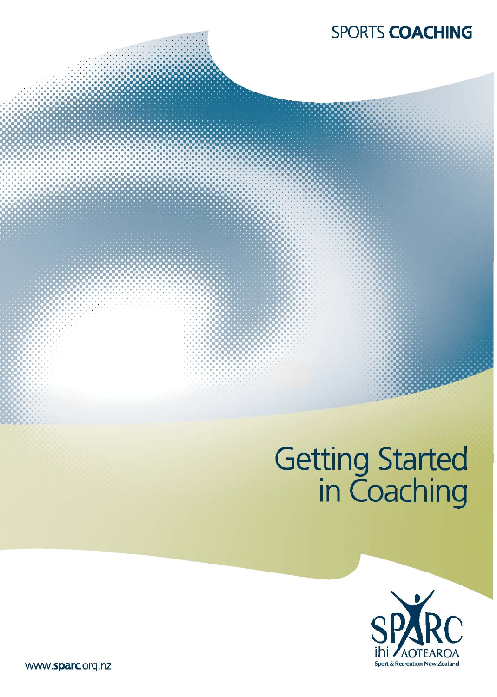# **SPORTS COACHING**

# Getting Started<br>in Coaching



www.sparc.org.nz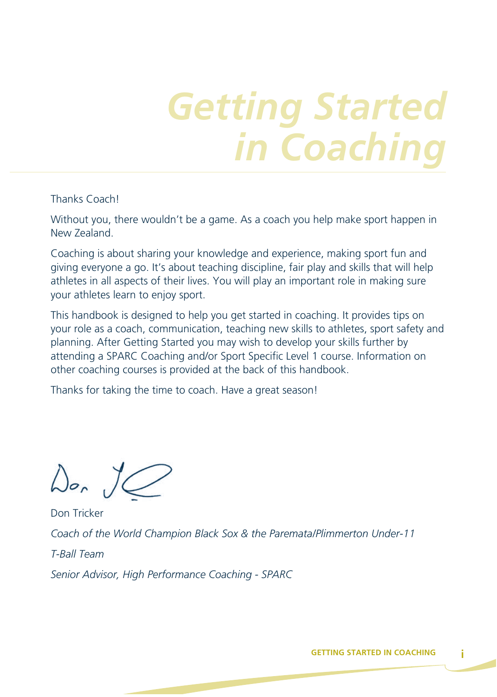# *Getting Started in Coaching*

Thanks Coach!

Without you, there wouldn't be a game. As a coach you help make sport happen in New Zealand.

Coaching is about sharing your knowledge and experience, making sport fun and giving everyone a go. It's about teaching discipline, fair play and skills that will help athletes in all aspects of their lives. You will play an important role in making sure your athletes learn to enjoy sport.

This handbook is designed to help you get started in coaching. It provides tips on your role as a coach, communication, teaching new skills to athletes, sport safety and planning. After Getting Started you may wish to develop your skills further by attending a SPARC Coaching and/or Sport Specific Level 1 course. Information on other coaching courses is provided at the back of this handbook.

Thanks for taking the time to coach. Have a great season!

 $\Delta$ or  $\overline{\mathcal{L}}$ 

Don Tricker *Coach of the World Champion Black Sox & the Paremata/Plimmerton Under-11 T-Ball Team Senior Advisor, High Performance Coaching - SPARC*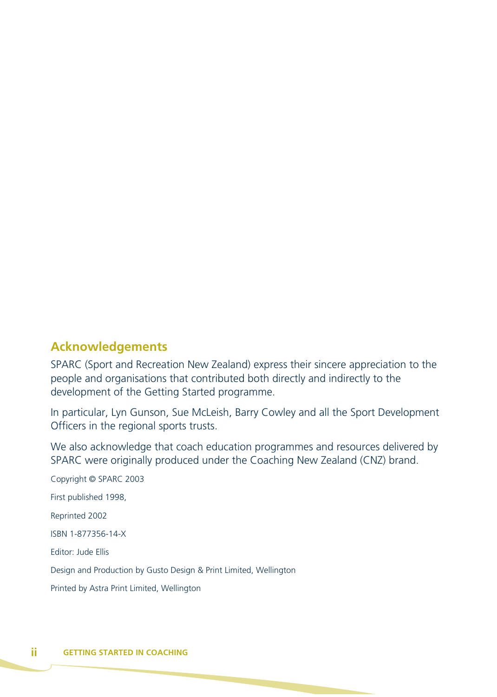#### **Acknowledgements**

SPARC (Sport and Recreation New Zealand) express their sincere appreciation to the people and organisations that contributed both directly and indirectly to the development of the Getting Started programme.

In particular, Lyn Gunson, Sue McLeish, Barry Cowley and all the Sport Development Officers in the regional sports trusts.

We also acknowledge that coach education programmes and resources delivered by SPARC were originally produced under the Coaching New Zealand (CNZ) brand.

Copyright © SPARC 2003 First published 1998, Reprinted 2002 ISBN 1-877356-14-X Editor: Jude Ellis Design and Production by Gusto Design & Print Limited, Wellington Printed by Astra Print Limited, Wellington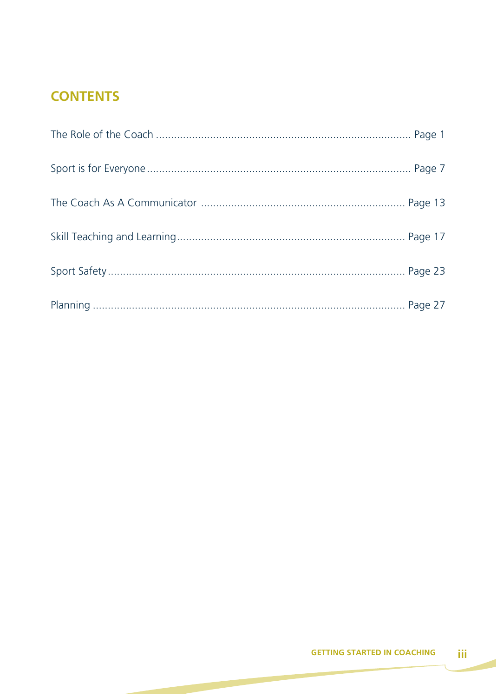# **CONTENTS**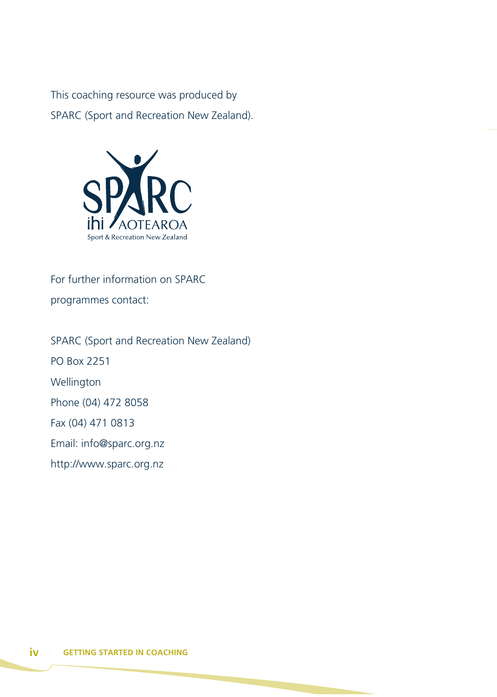This coaching resource was produced by SPARC (Sport and Recreation New Zealand).



For further information on SPARC

programmes contact:

SPARC (Sport and Recreation New Zealand) PO Box 2251 Wellington Phone (04) 472 8058 Fax (04) 471 0813 Email: info@sparc.org.nz http://www.sparc.org.nz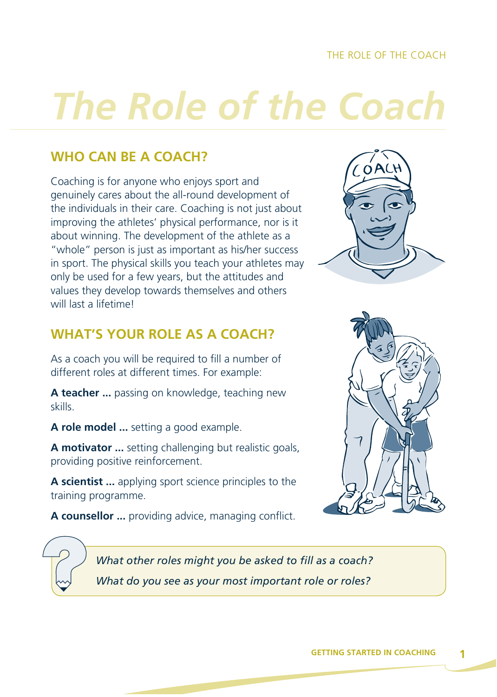#### THE ROLE OF THE COACH

# *The Role of the Coach*

# **WHO CAN BE A COACH?**

Coaching is for anyone who enjoys sport and genuinely cares about the all-round development of the individuals in their care. Coaching is not just about improving the athletes' physical performance, nor is it about winning. The development of the athlete as a "whole" person is just as important as his/her success in sport. The physical skills you teach your athletes may only be used for a few years, but the attitudes and values they develop towards themselves and others will last a lifetime!

# **WHAT'S YOUR ROLE AS A COACH?**

As a coach you will be required to fill a number of different roles at different times. For example:

**A teacher ...** passing on knowledge, teaching new skills.

**A role model ...** setting a good example.

**A motivator ...** setting challenging but realistic goals, providing positive reinforcement.

**A scientist ...** applying sport science principles to the training programme.

**A counsellor ...** providing advice, managing conflict.





*What other roles might you be asked to fill as a coach? What do you see as your most important role or roles?*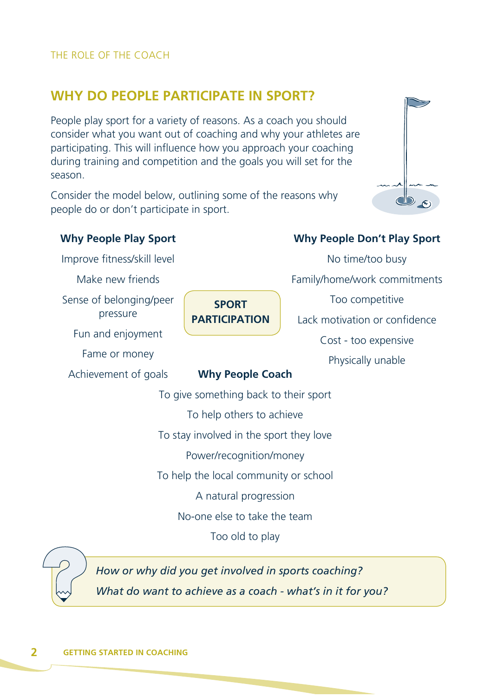# **WHY DO PEOPLE PARTICIPATE IN SPORT?**

People play sport for a variety of reasons. As a coach you should consider what you want out of coaching and why your athletes are participating. This will influence how you approach your coaching during training and competition and the goals you will set for the season.

Consider the model below, outlining some of the reasons why people do or don't participate in sport.



#### **Why People Play Sport**

Improve fitness/skill level

Make new friends

Sense of belonging/peer pressure

Fun and enjoyment

Fame or money

Achievement of goals **Why People Coach**

**SPORT PARTICIPATION**

#### **Why People Don't Play Sport**

No time/too busy Family/home/work commitments Too competitive Lack motivation or confidence Cost - too expensive Physically unable

To give something back to their sport To help others to achieve To stay involved in the sport they love Power/recognition/money To help the local community or school A natural progression No-one else to take the team Too old to play

*How or why did you get involved in sports coaching? What do want to achieve as a coach - what's in it for you?*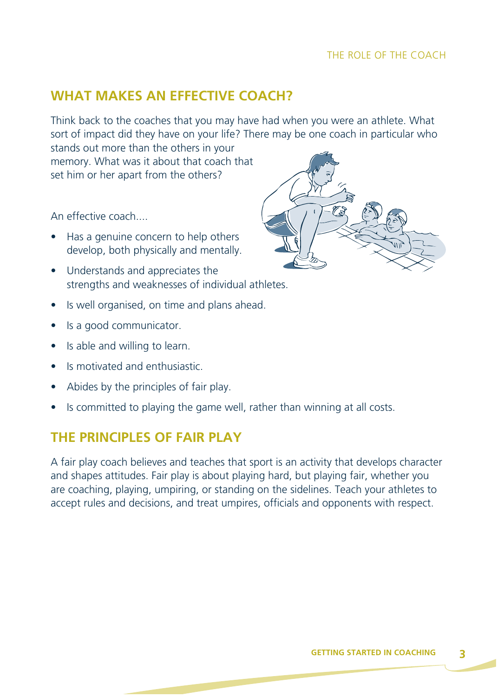#### THE ROLE OF THE COACH

# **WHAT MAKES AN EFFECTIVE COACH?**

Think back to the coaches that you may have had when you were an athlete. What sort of impact did they have on your life? There may be one coach in particular who

stands out more than the others in your memory. What was it about that coach that set him or her apart from the others?

An effective coach....

- Has a genuine concern to help others develop, both physically and mentally.
- Understands and appreciates the strengths and weaknesses of individual athletes.
- Is well organised, on time and plans ahead.
- Is a good communicator.
- Is able and willing to learn.
- Is motivated and enthusiastic.
- Abides by the principles of fair play.
- Is committed to playing the game well, rather than winning at all costs.

#### **THE PRINCIPLES OF FAIR PLAY**

A fair play coach believes and teaches that sport is an activity that develops character and shapes attitudes. Fair play is about playing hard, but playing fair, whether you are coaching, playing, umpiring, or standing on the sidelines. Teach your athletes to accept rules and decisions, and treat umpires, officials and opponents with respect.

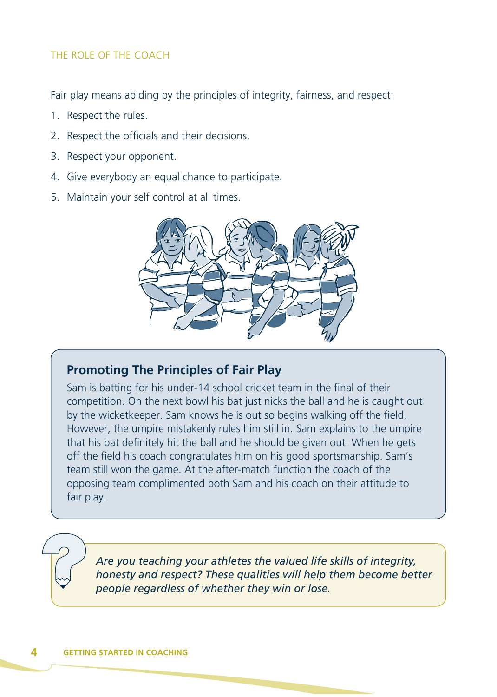#### THE ROLE OF THE COACH

Fair play means abiding by the principles of integrity, fairness, and respect:

- 1. Respect the rules.
- 2. Respect the officials and their decisions.
- 3. Respect your opponent.
- 4. Give everybody an equal chance to participate.
- 5. Maintain your self control at all times.



#### **Promoting The Principles of Fair Play**

Sam is batting for his under-14 school cricket team in the final of their competition. On the next bowl his bat just nicks the ball and he is caught out by the wicketkeeper. Sam knows he is out so begins walking off the field. However, the umpire mistakenly rules him still in. Sam explains to the umpire that his bat definitely hit the ball and he should be given out. When he gets off the field his coach congratulates him on his good sportsmanship. Sam's team still won the game. At the after-match function the coach of the opposing team complimented both Sam and his coach on their attitude to fair play.

*Are you teaching your athletes the valued life skills of integrity, honesty and respect? These qualities will help them become better people regardless of whether they win or lose.*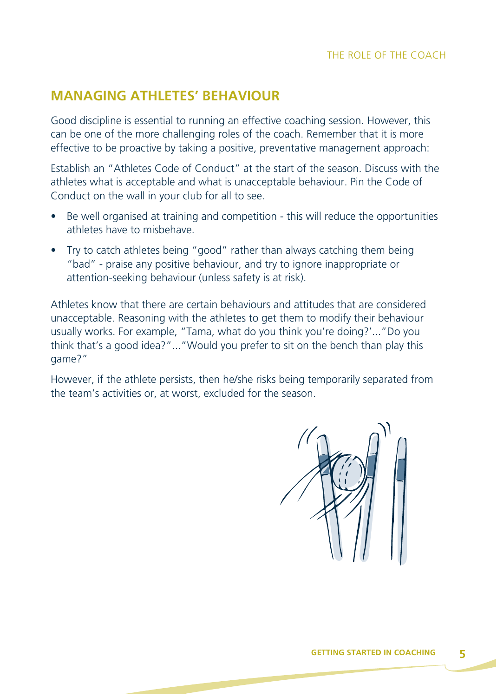# **MANAGING ATHLETES' BEHAVIOUR**

Good discipline is essential to running an effective coaching session. However, this can be one of the more challenging roles of the coach. Remember that it is more effective to be proactive by taking a positive, preventative management approach:

Establish an "Athletes Code of Conduct" at the start of the season. Discuss with the athletes what is acceptable and what is unacceptable behaviour. Pin the Code of Conduct on the wall in your club for all to see.

- Be well organised at training and competition this will reduce the opportunities athletes have to misbehave.
- Try to catch athletes being "good" rather than always catching them being "bad" - praise any positive behaviour, and try to ignore inappropriate or attention-seeking behaviour (unless safety is at risk).

Athletes know that there are certain behaviours and attitudes that are considered unacceptable. Reasoning with the athletes to get them to modify their behaviour usually works. For example, "Tama, what do you think you're doing?'..."Do you think that's a good idea?"..."Would you prefer to sit on the bench than play this game?"

However, if the athlete persists, then he/she risks being temporarily separated from the team's activities or, at worst, excluded for the season.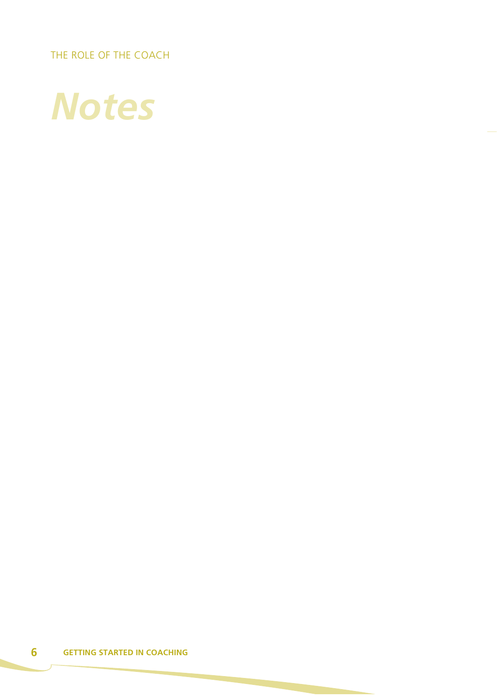THE ROLE OF THE COACH

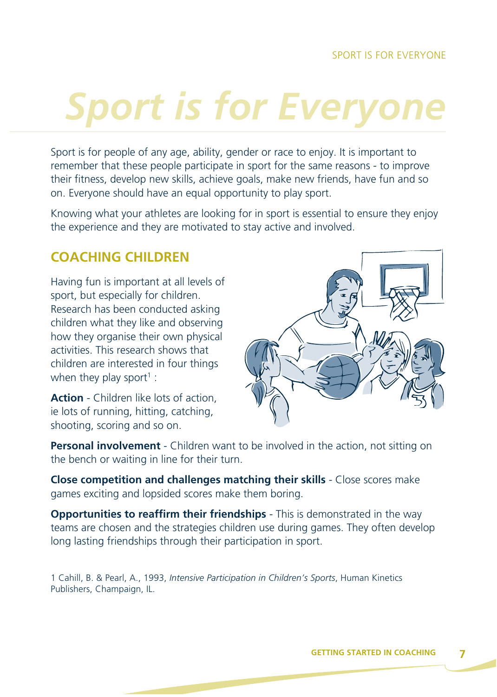# **Sport is for Everyon**

Sport is for people of any age, ability, gender or race to enjoy. It is important to remember that these people participate in sport for the same reasons - to improve their fitness, develop new skills, achieve goals, make new friends, have fun and so on. Everyone should have an equal opportunity to play sport.

Knowing what your athletes are looking for in sport is essential to ensure they enjoy the experience and they are motivated to stay active and involved.

# **COACHING CHILDREN**

Having fun is important at all levels of sport, but especially for children. Research has been conducted asking children what they like and observing how they organise their own physical activities. This research shows that children are interested in four things when they play sport<sup>1</sup> :

**Action** - Children like lots of action, ie lots of running, hitting, catching, shooting, scoring and so on.



**Personal involvement** - Children want to be involved in the action, not sitting on the bench or waiting in line for their turn.

**Close competition and challenges matching their skills** - Close scores make games exciting and lopsided scores make them boring.

**Opportunities to reaffirm their friendships** - This is demonstrated in the way teams are chosen and the strategies children use during games. They often develop long lasting friendships through their participation in sport.

1 Cahill, B. & Pearl, A., 1993, *Intensive Participation in Children's Sports*, Human Kinetics Publishers, Champaign, IL.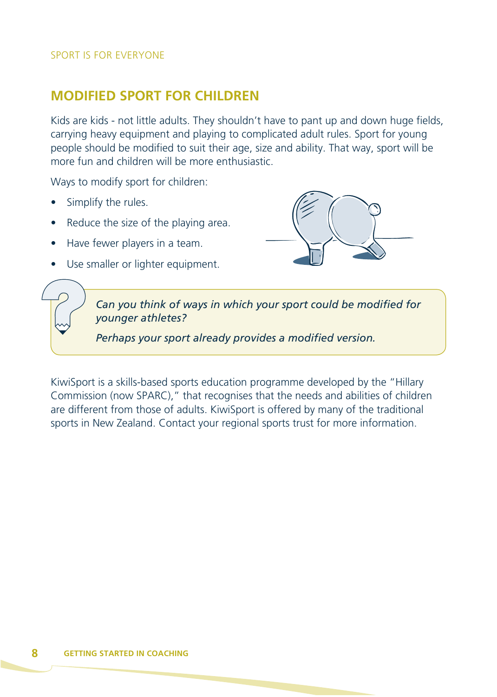# **MODIFIED SPORT FOR CHILDREN**

Kids are kids - not little adults. They shouldn't have to pant up and down huge fields, carrying heavy equipment and playing to complicated adult rules. Sport for young people should be modified to suit their age, size and ability. That way, sport will be more fun and children will be more enthusiastic.

Ways to modify sport for children:

- Simplify the rules.
- Reduce the size of the playing area.
- Have fewer players in a team.
- Use smaller or lighter equipment.



*Can you think of ways in which your sport could be modified for younger athletes?*

*Perhaps your sport already provides a modified version.*

KiwiSport is a skills-based sports education programme developed by the "Hillary Commission (now SPARC)," that recognises that the needs and abilities of children are different from those of adults. KiwiSport is offered by many of the traditional sports in New Zealand. Contact your regional sports trust for more information.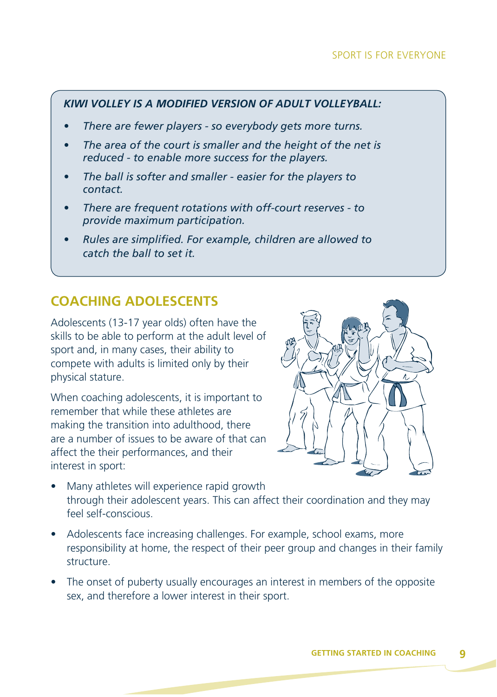#### SPORT IS FOR EVERYONE

#### *KIWI VOLLEY IS A MODIFIED VERSION OF ADULT VOLLEYBALL:*

- *There are fewer players so everybody gets more turns.*
- *The area of the court is smaller and the height of the net is reduced - to enable more success for the players.*
- *The ball is softer and smaller easier for the players to contact.*
- *There are frequent rotations with off-court reserves to provide maximum participation.*
- *Rules are simplified. For example, children are allowed to catch the ball to set it.*

#### **COACHING ADOLESCENTS**

Adolescents (13-17 year olds) often have the skills to be able to perform at the adult level of sport and, in many cases, their ability to compete with adults is limited only by their physical stature.

When coaching adolescents, it is important to remember that while these athletes are making the transition into adulthood, there are a number of issues to be aware of that can affect the their performances, and their interest in sport:



- Many athletes will experience rapid growth through their adolescent years. This can affect their coordination and they may feel self-conscious.
- Adolescents face increasing challenges. For example, school exams, more responsibility at home, the respect of their peer group and changes in their family structure.
- The onset of puberty usually encourages an interest in members of the opposite sex, and therefore a lower interest in their sport.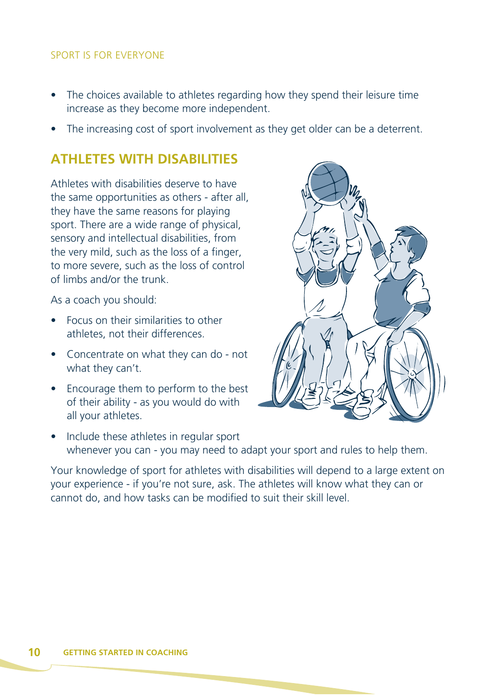#### SPORT IS FOR EVERYONE

- The choices available to athletes regarding how they spend their leisure time increase as they become more independent.
- The increasing cost of sport involvement as they get older can be a deterrent.

#### **ATHLETES WITH DISABILITIES**

Athletes with disabilities deserve to have the same opportunities as others - after all, they have the same reasons for playing sport. There are a wide range of physical, sensory and intellectual disabilities, from the very mild, such as the loss of a finger, to more severe, such as the loss of control of limbs and/or the trunk.

As a coach you should:

- Focus on their similarities to other athletes, not their differences.
- Concentrate on what they can do not what they can't.
- Encourage them to perform to the best of their ability - as you would do with all your athletes.



• Include these athletes in regular sport whenever you can - you may need to adapt your sport and rules to help them.

Your knowledge of sport for athletes with disabilities will depend to a large extent on your experience - if you're not sure, ask. The athletes will know what they can or cannot do, and how tasks can be modified to suit their skill level.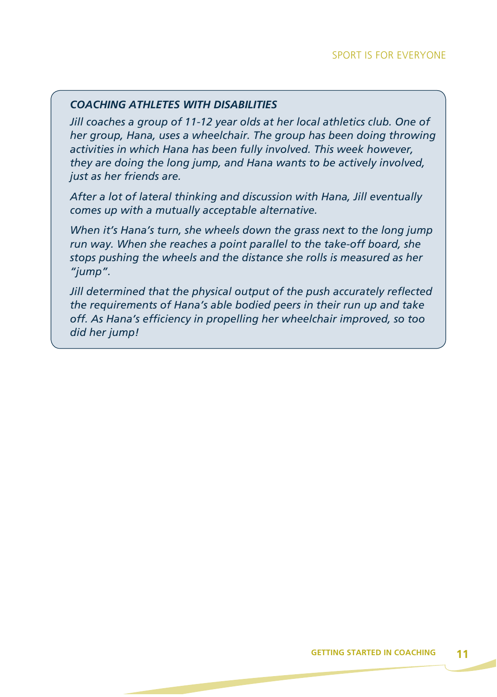#### *COACHING ATHLETES WITH DISABILITIES*

*Jill coaches a group of 11-12 year olds at her local athletics club. One of her group, Hana, uses a wheelchair. The group has been doing throwing activities in which Hana has been fully involved. This week however, they are doing the long jump, and Hana wants to be actively involved, just as her friends are.*

*After a lot of lateral thinking and discussion with Hana, Jill eventually comes up with a mutually acceptable alternative.*

*When it's Hana's turn, she wheels down the grass next to the long jump run way. When she reaches a point parallel to the take-off board, she stops pushing the wheels and the distance she rolls is measured as her "jump".*

*Jill determined that the physical output of the push accurately reflected the requirements of Hana's able bodied peers in their run up and take off. As Hana's efficiency in propelling her wheelchair improved, so too did her jump!*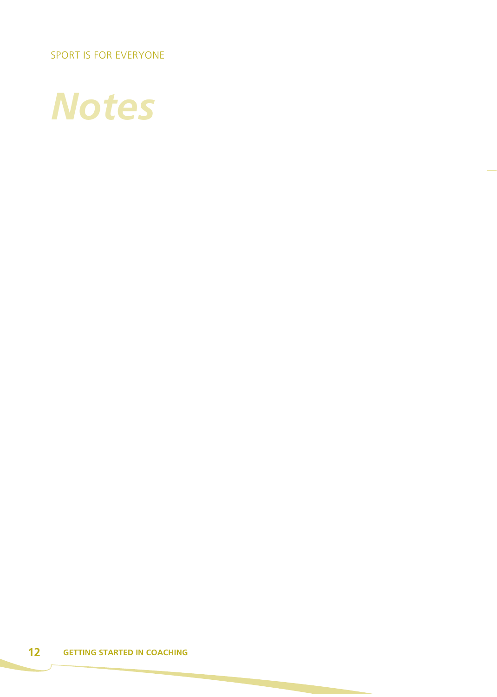SPORT IS FOR EVERYONE

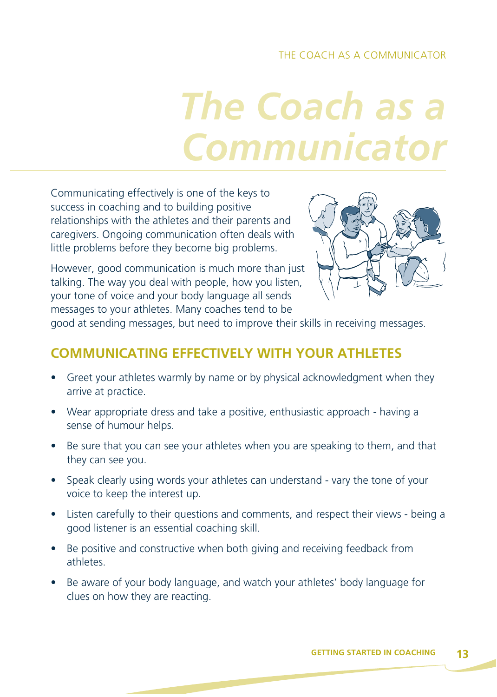#### THE COACH AS A COMMUNICATOR

# *The Coach as a Communicator*

Communicating effectively is one of the keys to success in coaching and to building positive relationships with the athletes and their parents and caregivers. Ongoing communication often deals with little problems before they become big problems.

However, good communication is much more than just talking. The way you deal with people, how you listen, your tone of voice and your body language all sends messages to your athletes. Many coaches tend to be



good at sending messages, but need to improve their skills in receiving messages.

#### **COMMUNICATING EFFECTIVELY WITH YOUR ATHLETES**

- Greet your athletes warmly by name or by physical acknowledgment when they arrive at practice.
- Wear appropriate dress and take a positive, enthusiastic approach having a sense of humour helps.
- Be sure that you can see your athletes when you are speaking to them, and that they can see you.
- Speak clearly using words your athletes can understand vary the tone of your voice to keep the interest up.
- Listen carefully to their questions and comments, and respect their views being a good listener is an essential coaching skill.
- Be positive and constructive when both giving and receiving feedback from athletes.
- Be aware of your body language, and watch your athletes' body language for clues on how they are reacting.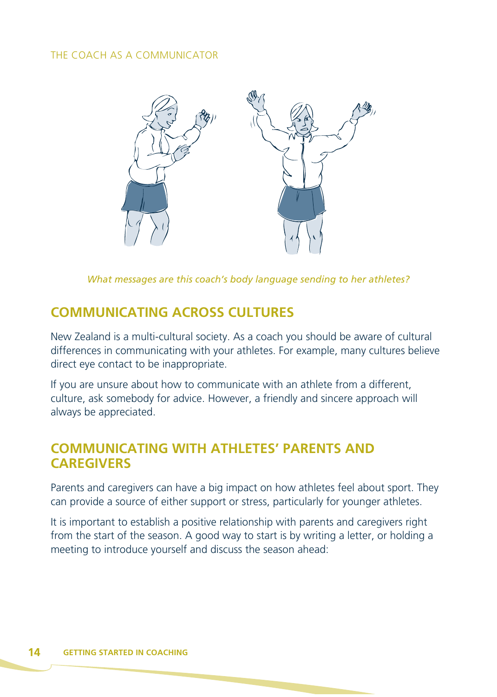#### THE COACH AS A COMMUNICATOR



*What messages are this coach's body language sending to her athletes?*

### **COMMUNICATING ACROSS CULTURES**

New Zealand is a multi-cultural society. As a coach you should be aware of cultural differences in communicating with your athletes. For example, many cultures believe direct eye contact to be inappropriate.

If you are unsure about how to communicate with an athlete from a different, culture, ask somebody for advice. However, a friendly and sincere approach will always be appreciated.

#### **COMMUNICATING WITH ATHLETES' PARENTS AND CAREGIVERS**

Parents and caregivers can have a big impact on how athletes feel about sport. They can provide a source of either support or stress, particularly for younger athletes.

It is important to establish a positive relationship with parents and caregivers right from the start of the season. A good way to start is by writing a letter, or holding a meeting to introduce yourself and discuss the season ahead: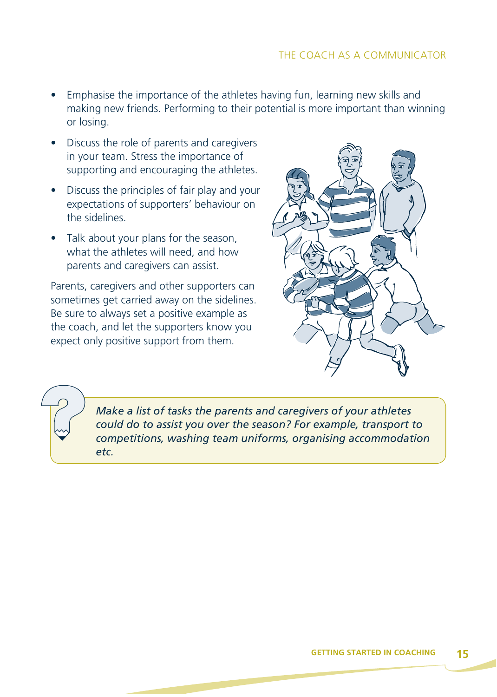- Emphasise the importance of the athletes having fun, learning new skills and making new friends. Performing to their potential is more important than winning or losing.
- Discuss the role of parents and caregivers in your team. Stress the importance of supporting and encouraging the athletes.
- Discuss the principles of fair play and your expectations of supporters' behaviour on the sidelines.
- Talk about your plans for the season, what the athletes will need, and how parents and caregivers can assist.

Parents, caregivers and other supporters can sometimes get carried away on the sidelines. Be sure to always set a positive example as the coach, and let the supporters know you expect only positive support from them.



*Make a list of tasks the parents and caregivers of your athletes could do to assist you over the season? For example, transport to competitions, washing team uniforms, organising accommodation etc.*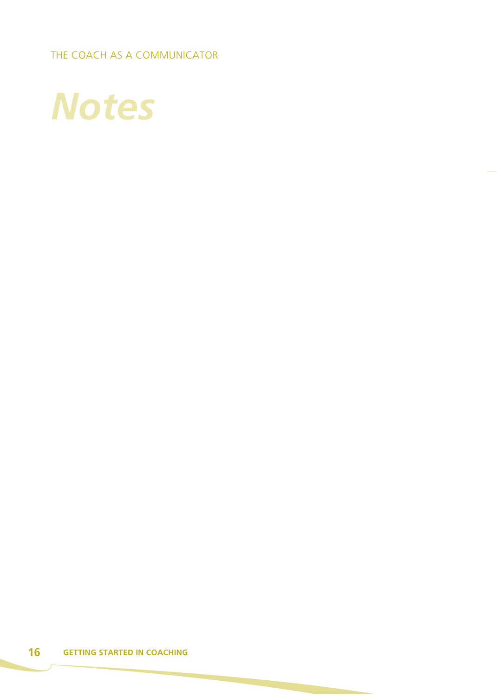THE COACH AS A COMMUNICATOR

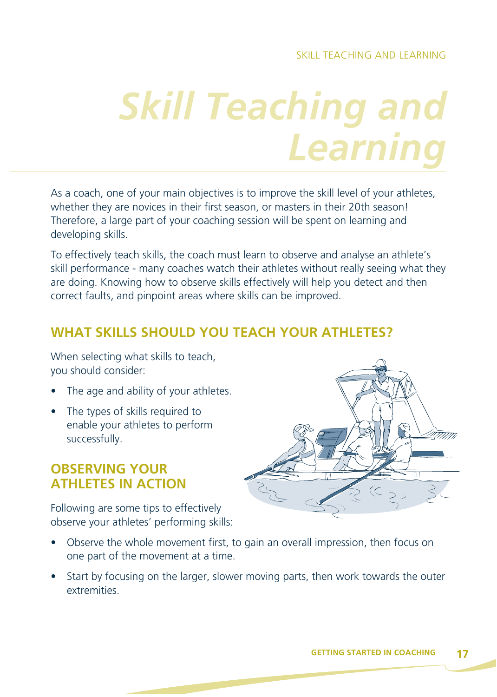# *Skill Teaching and Learning*

As a coach, one of your main objectives is to improve the skill level of your athletes, whether they are novices in their first season, or masters in their 20th season! Therefore, a large part of your coaching session will be spent on learning and developing skills.

To effectively teach skills, the coach must learn to observe and analyse an athlete's skill performance - many coaches watch their athletes without really seeing what they are doing. Knowing how to observe skills effectively will help you detect and then correct faults, and pinpoint areas where skills can be improved.

### **WHAT SKILLS SHOULD YOU TEACH YOUR ATHLETES?**

When selecting what skills to teach, you should consider:

- The age and ability of your athletes.
- The types of skills required to enable your athletes to perform successfully.

### **OBSERVING YOUR ATHLETES IN ACTION**

Following are some tips to effectively observe your athletes' performing skills:



- Observe the whole movement first, to gain an overall impression, then focus on one part of the movement at a time.
- Start by focusing on the larger, slower moving parts, then work towards the outer extremities.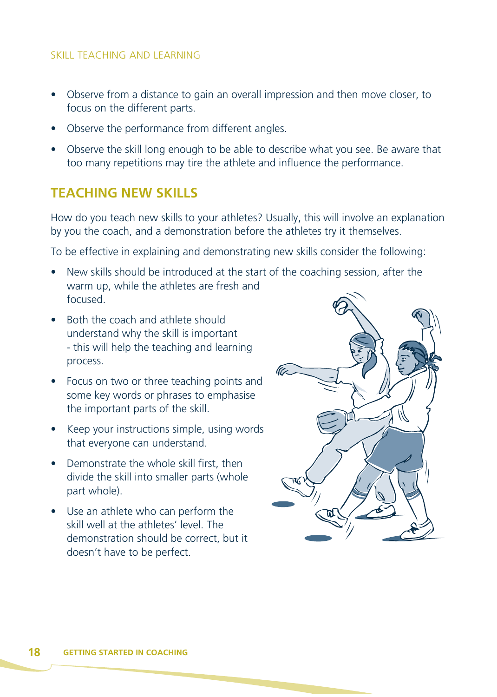#### SKILL TEACHING AND LEARNING

- Observe from a distance to gain an overall impression and then move closer, to focus on the different parts.
- Observe the performance from different angles.
- Observe the skill long enough to be able to describe what you see. Be aware that too many repetitions may tire the athlete and influence the performance.

#### **TEACHING NEW SKILLS**

How do you teach new skills to your athletes? Usually, this will involve an explanation by you the coach, and a demonstration before the athletes try it themselves.

To be effective in explaining and demonstrating new skills consider the following:

- New skills should be introduced at the start of the coaching session, after the warm up, while the athletes are fresh and focused.
- Both the coach and athlete should understand why the skill is important - this will help the teaching and learning process.
- Focus on two or three teaching points and some key words or phrases to emphasise the important parts of the skill.
- Keep your instructions simple, using words that everyone can understand.
- Demonstrate the whole skill first, then divide the skill into smaller parts (whole part whole).
- Use an athlete who can perform the skill well at the athletes' level. The demonstration should be correct, but it doesn't have to be perfect.

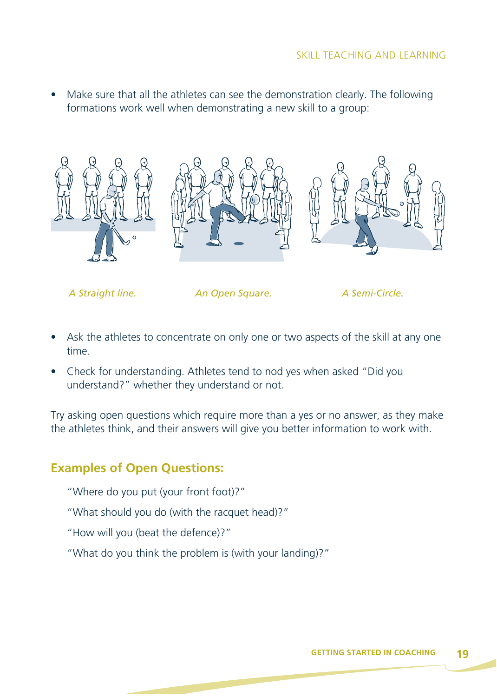• Make sure that all the athletes can see the demonstration clearly. The following formations work well when demonstrating a new skill to a group:



 *A Straight line. An Open Square. A Semi-Circle.*

- Ask the athletes to concentrate on only one or two aspects of the skill at any one time.
- Check for understanding. Athletes tend to nod yes when asked "Did you understand?" whether they understand or not.

Try asking open questions which require more than a yes or no answer, as they make the athletes think, and their answers will give you better information to work with.

#### **Examples of Open Questions:**

- "Where do you put (your front foot)?"
- "What should you do (with the racquet head)?"
- "How will you (beat the defence)?"
- "What do you think the problem is (with your landing)?"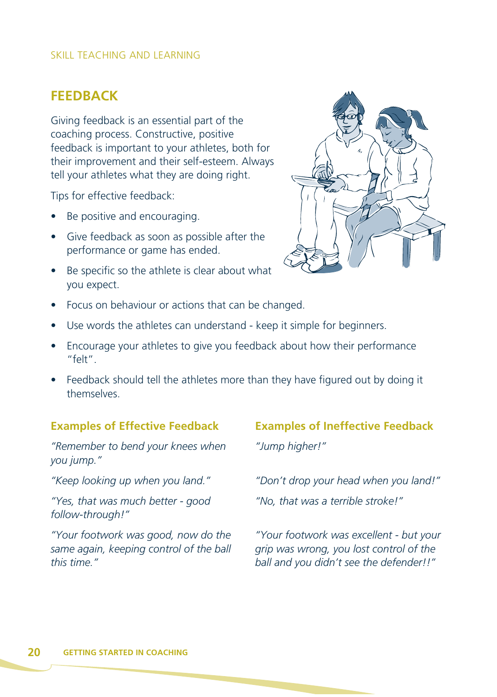#### SKILL TEACHING AND LEARNING

#### **FEEDBACK**

Giving feedback is an essential part of the coaching process. Constructive, positive feedback is important to your athletes, both for their improvement and their self-esteem. Always tell your athletes what they are doing right.

Tips for effective feedback:

- Be positive and encouraging.
- Give feedback as soon as possible after the performance or game has ended.
- Be specific so the athlete is clear about what you expect.



- Focus on behaviour or actions that can be changed.
- Use words the athletes can understand keep it simple for beginners.
- Encourage your athletes to give you feedback about how their performance "felt".
- Feedback should tell the athletes more than they have figured out by doing it themselves.

#### **Examples of Effective Feedback**

*"Remember to bend your knees when you jump."* 

*"Keep looking up when you land."* 

*"Yes, that was much better - good follow-through!"* 

*"Your footwork was good, now do the same again, keeping control of the ball this time."*

#### **Examples of Ineffective Feedback**

*"Jump higher!"*

*"Don't drop your head when you land!"*

*"No, that was a terrible stroke!"*

*"Your footwork was excellent - but your grip was wrong, you lost control of the ball and you didn't see the defender!!"*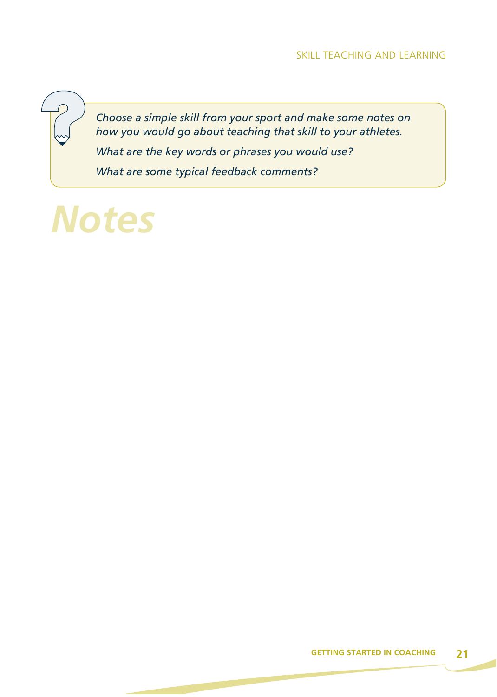*Choose a simple skill from your sport and make some notes on how you would go about teaching that skill to your athletes. What are the key words or phrases you would use?*

*What are some typical feedback comments?*

# *Notes*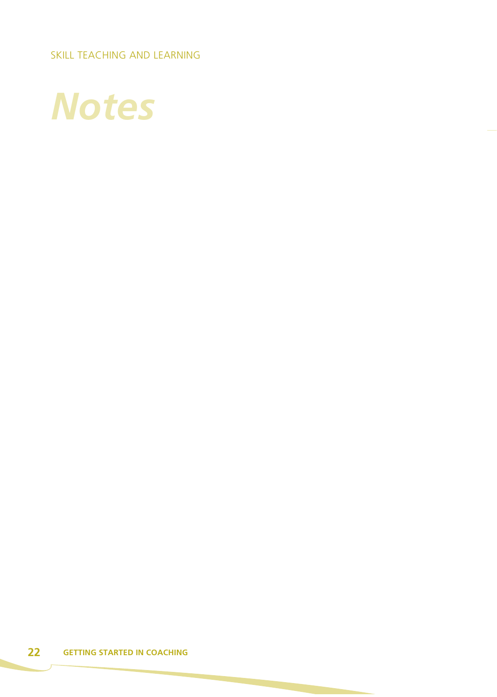SKILL TEACHING AND LEARNING

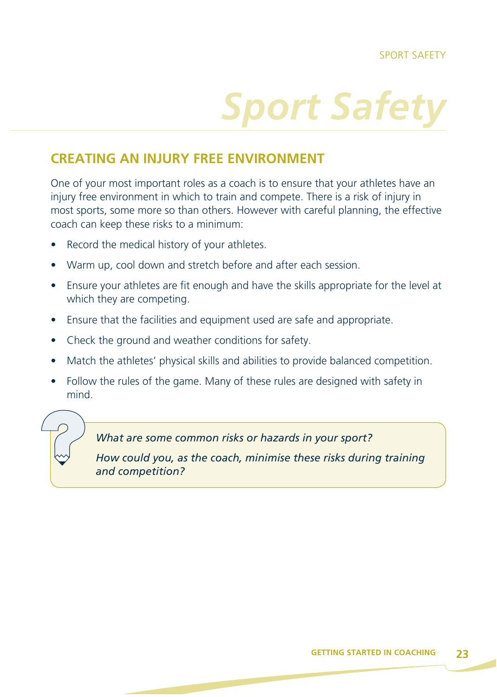# **Sport Safet**

### **CREATING AN INJURY FREE ENVIRONMENT**

One of your most important roles as a coach is to ensure that your athletes have an injury free environment in which to train and compete. There is a risk of injury in most sports, some more so than others. However with careful planning, the effective coach can keep these risks to a minimum:

- Record the medical history of your athletes.
- Warm up, cool down and stretch before and after each session.
- Ensure your athletes are fit enough and have the skills appropriate for the level at which they are competing.
- Ensure that the facilities and equipment used are safe and appropriate.
- Check the ground and weather conditions for safety.
- Match the athletes' physical skills and abilities to provide balanced competition.
- Follow the rules of the game. Many of these rules are designed with safety in mind.

*What are some common risks or hazards in your sport?*

*How could you, as the coach, minimise these risks during training and competition?*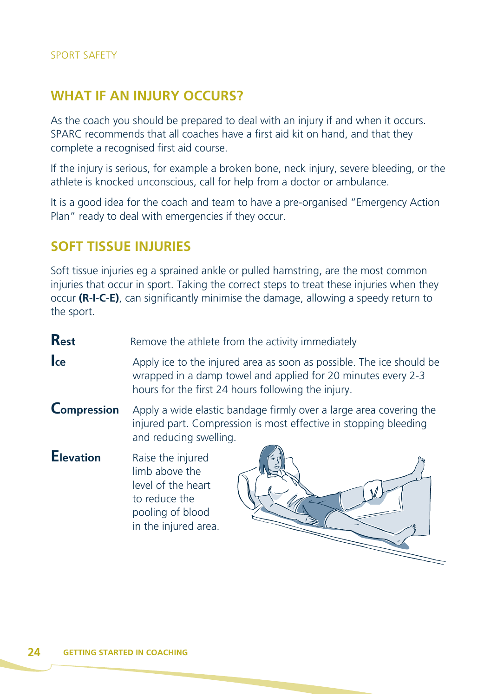#### **WHAT IF AN INJURY OCCURS?**

As the coach you should be prepared to deal with an injury if and when it occurs. SPARC recommends that all coaches have a first aid kit on hand, and that they complete a recognised first aid course.

If the injury is serious, for example a broken bone, neck injury, severe bleeding, or the athlete is knocked unconscious, call for help from a doctor or ambulance.

It is a good idea for the coach and team to have a pre-organised "Emergency Action Plan" ready to deal with emergencies if they occur.

# **SOFT TISSUE INJURIES**

Soft tissue injuries eg a sprained ankle or pulled hamstring, are the most common injuries that occur in sport. Taking the correct steps to treat these injuries when they occur **(R-I-C-E)**, can significantly minimise the damage, allowing a speedy return to the sport.

**Rest** Remove the athlete from the activity immediately

- **Ice** Apply ice to the injured area as soon as possible. The ice should be wrapped in a damp towel and applied for 20 minutes every 2-3 hours for the first 24 hours following the injury.
- **Compression** Apply a wide elastic bandage firmly over a large area covering the injured part. Compression is most effective in stopping bleeding and reducing swelling.
- **Elevation** Raise the injured limb above the level of the heart to reduce the pooling of blood in the injured area.

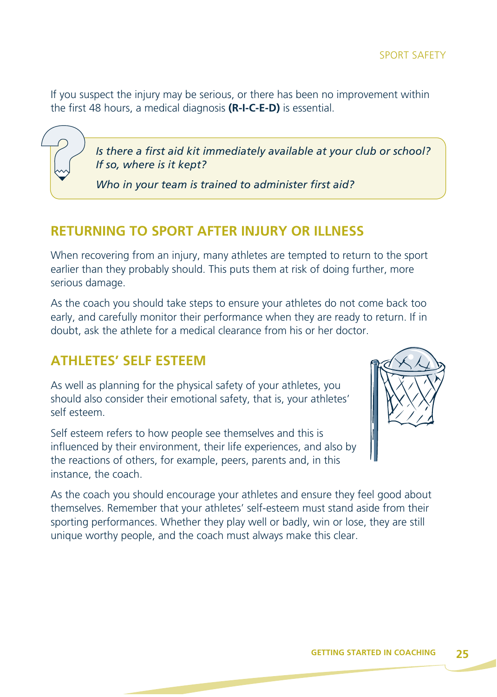If you suspect the injury may be serious, or there has been no improvement within the first 48 hours, a medical diagnosis **(R-I-C-E-D)** is essential.

> *Is there a first aid kit immediately available at your club or school? If so, where is it kept?*

*Who in your team is trained to administer first aid?*

#### **RETURNING TO SPORT AFTER INJURY OR ILLNESS**

When recovering from an injury, many athletes are tempted to return to the sport earlier than they probably should. This puts them at risk of doing further, more serious damage.

As the coach you should take steps to ensure your athletes do not come back too early, and carefully monitor their performance when they are ready to return. If in doubt, ask the athlete for a medical clearance from his or her doctor.

#### **ATHLETES' SELF ESTEEM**

As well as planning for the physical safety of your athletes, you should also consider their emotional safety, that is, your athletes' self esteem.

Self esteem refers to how people see themselves and this is influenced by their environment, their life experiences, and also by the reactions of others, for example, peers, parents and, in this instance, the coach.



As the coach you should encourage your athletes and ensure they feel good about themselves. Remember that your athletes' self-esteem must stand aside from their sporting performances. Whether they play well or badly, win or lose, they are still unique worthy people, and the coach must always make this clear.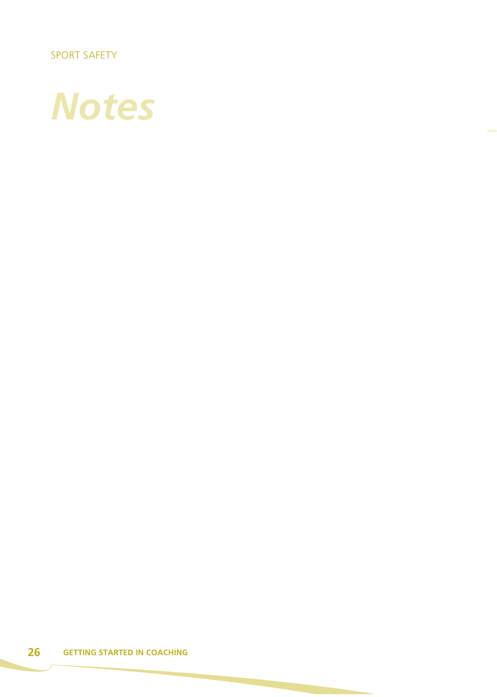SPORT SAFETY

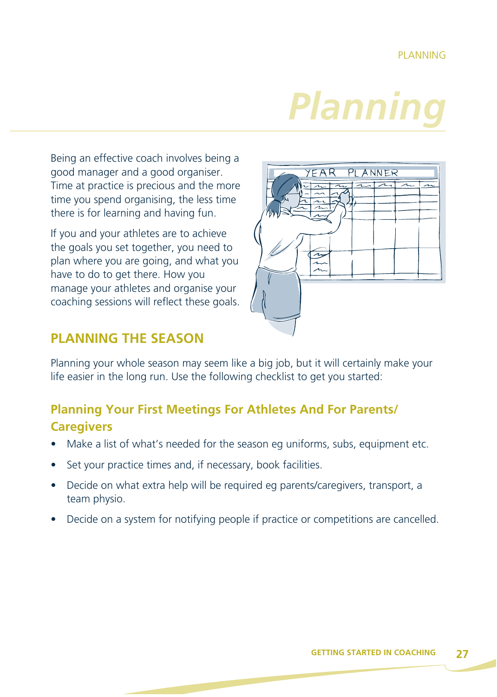# *Planning*

Being an effective coach involves being a good manager and a good organiser. Time at practice is precious and the more time you spend organising, the less time there is for learning and having fun.

If you and your athletes are to achieve the goals you set together, you need to plan where you are going, and what you have to do to get there. How you manage your athletes and organise your coaching sessions will reflect these goals.



# **PLANNING THE SEASON**

Planning your whole season may seem like a big job, but it will certainly make your life easier in the long run. Use the following checklist to get you started:

# **Planning Your First Meetings For Athletes And For Parents/ Caregivers**

- Make a list of what's needed for the season eg uniforms, subs, equipment etc.
- Set your practice times and, if necessary, book facilities.
- Decide on what extra help will be required eg parents/caregivers, transport, a team physio.
- Decide on a system for notifying people if practice or competitions are cancelled.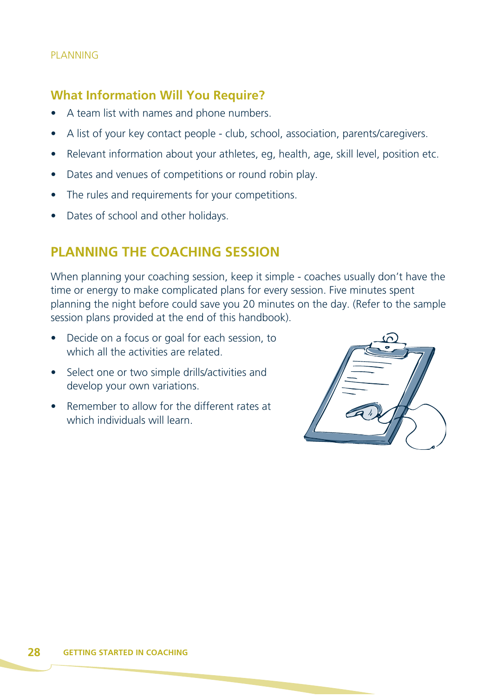#### PLANNING

#### **What Information Will You Require?**

- A team list with names and phone numbers.
- A list of your key contact people club, school, association, parents/caregivers.
- Relevant information about your athletes, eg, health, age, skill level, position etc.
- Dates and venues of competitions or round robin play.
- The rules and requirements for your competitions.
- Dates of school and other holidays.

### **PLANNING THE COACHING SESSION**

When planning your coaching session, keep it simple - coaches usually don't have the time or energy to make complicated plans for every session. Five minutes spent planning the night before could save you 20 minutes on the day. (Refer to the sample session plans provided at the end of this handbook).

- Decide on a focus or goal for each session, to which all the activities are related.
- Select one or two simple drills/activities and develop your own variations.
- Remember to allow for the different rates at which individuals will learn.

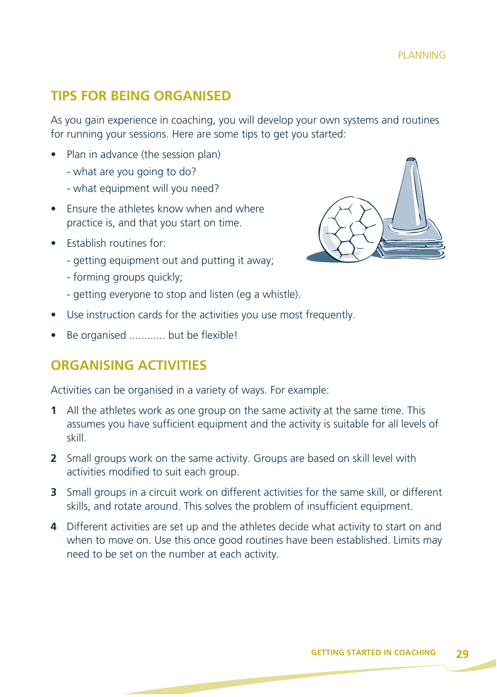### **TIPS FOR BEING ORGANISED**

As you gain experience in coaching, you will develop your own systems and routines for running your sessions. Here are some tips to get you started:

- Plan in advance (the session plan)
	- what are you going to do?
	- what equipment will you need?
- Ensure the athletes know when and where practice is, and that you start on time.
- Establish routines for:
	- getting equipment out and putting it away;
	- forming groups quickly;
	- getting everyone to stop and listen (eg a whistle).
- Use instruction cards for the activities you use most frequently.
- Be organised ............ but be flexible!

#### **ORGANISING ACTIVITIES**

Activities can be organised in a variety of ways. For example:

- **1** All the athletes work as one group on the same activity at the same time. This assumes you have sufficient equipment and the activity is suitable for all levels of skill.
- **2** Small groups work on the same activity. Groups are based on skill level with activities modified to suit each group.
- **3** Small groups in a circuit work on different activities for the same skill, or different skills, and rotate around. This solves the problem of insufficient equipment.
- **4** Different activities are set up and the athletes decide what activity to start on and when to move on. Use this once good routines have been established. Limits may need to be set on the number at each activity.

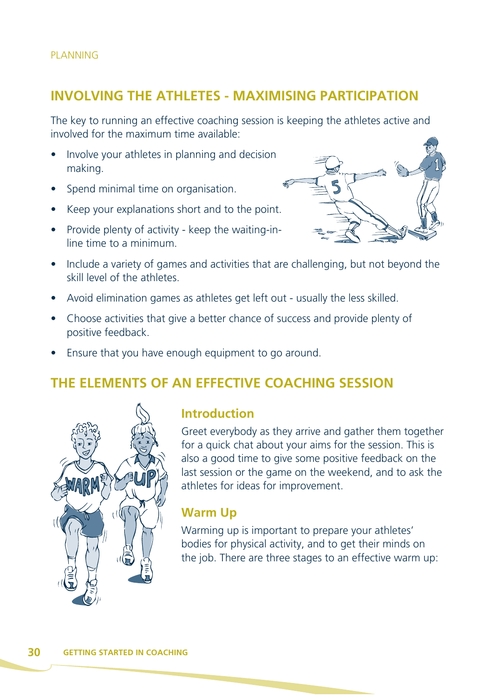#### **INVOLVING THE ATHLETES - MAXIMISING PARTICIPATION**

The key to running an effective coaching session is keeping the athletes active and involved for the maximum time available:

- Involve your athletes in planning and decision making.
- Spend minimal time on organisation.
- Keep your explanations short and to the point.
- Provide plenty of activity keep the waiting-inline time to a minimum.



- Include a variety of games and activities that are challenging, but not beyond the skill level of the athletes.
- Avoid elimination games as athletes get left out usually the less skilled.
- Choose activities that give a better chance of success and provide plenty of positive feedback.
- Ensure that you have enough equipment to go around.

# **THE ELEMENTS OF AN EFFECTIVE COACHING SESSION**



#### **Introduction**

Greet everybody as they arrive and gather them together for a quick chat about your aims for the session. This is also a good time to give some positive feedback on the last session or the game on the weekend, and to ask the athletes for ideas for improvement.

#### **Warm Up**

Warming up is important to prepare your athletes' bodies for physical activity, and to get their minds on the job. There are three stages to an effective warm up: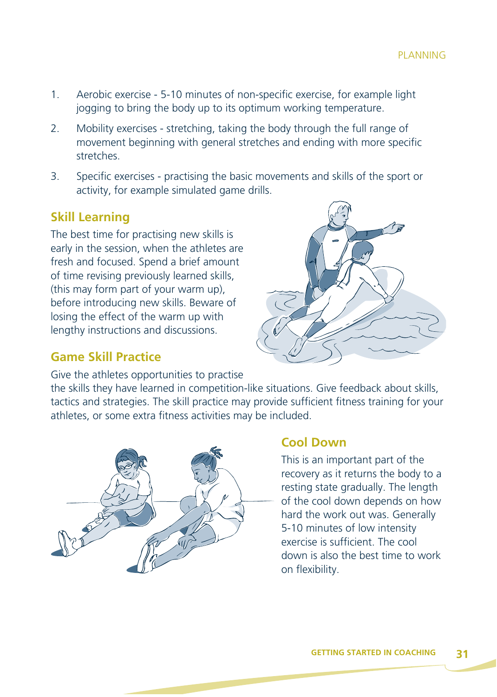- 1. Aerobic exercise 5-10 minutes of non-specific exercise, for example light jogging to bring the body up to its optimum working temperature.
- 2. Mobility exercises stretching, taking the body through the full range of movement beginning with general stretches and ending with more specific stretches.
- 3. Specific exercises practising the basic movements and skills of the sport or activity, for example simulated game drills.

#### **Skill Learning**

The best time for practising new skills is early in the session, when the athletes are fresh and focused. Spend a brief amount of time revising previously learned skills, (this may form part of your warm up), before introducing new skills. Beware of losing the effect of the warm up with lengthy instructions and discussions.

#### **Game Skill Practice**

Give the athletes opportunities to practise

the skills they have learned in competition-like situations. Give feedback about skills, tactics and strategies. The skill practice may provide sufficient fitness training for your athletes, or some extra fitness activities may be included.



#### **Cool Down**

This is an important part of the recovery as it returns the body to a resting state gradually. The length of the cool down depends on how hard the work out was. Generally 5-10 minutes of low intensity exercise is sufficient. The cool down is also the best time to work on flexibility.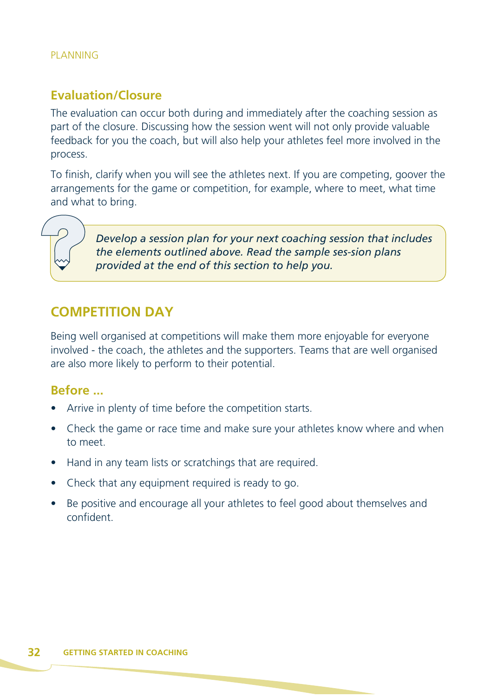#### PLANNING

#### **Evaluation/Closure**

The evaluation can occur both during and immediately after the coaching session as part of the closure. Discussing how the session went will not only provide valuable feedback for you the coach, but will also help your athletes feel more involved in the process.

To finish, clarify when you will see the athletes next. If you are competing, goover the arrangements for the game or competition, for example, where to meet, what time and what to bring.

> *Develop a session plan for your next coaching session that includes the elements outlined above. Read the sample ses-sion plans provided at the end of this section to help you.*

#### **COMPETITION DAY**

Being well organised at competitions will make them more enjoyable for everyone involved - the coach, the athletes and the supporters. Teams that are well organised are also more likely to perform to their potential.

#### **Before ...**

- Arrive in plenty of time before the competition starts.
- Check the game or race time and make sure your athletes know where and when to meet.
- Hand in any team lists or scratchings that are required.
- Check that any equipment required is ready to go.
- Be positive and encourage all your athletes to feel good about themselves and confident.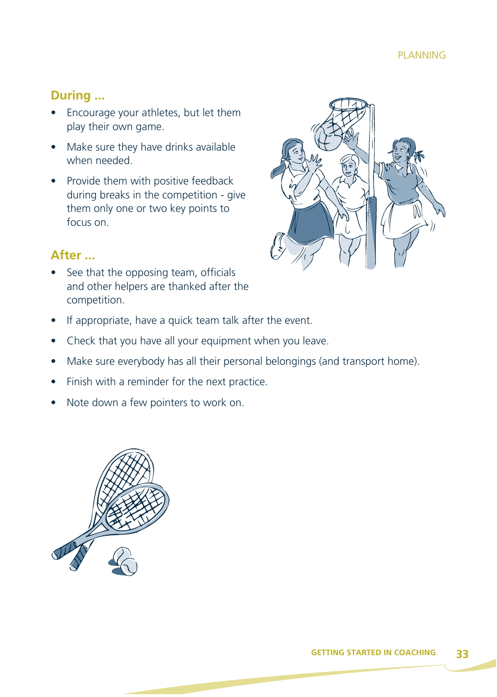### **During ...**

- Encourage your athletes, but let them play their own game.
- Make sure they have drinks available when needed.
- Provide them with positive feedback during breaks in the competition - give them only one or two key points to focus on.



#### **After ...**

- See that the opposing team, officials and other helpers are thanked after the competition.
- If appropriate, have a quick team talk after the event.
- Check that you have all your equipment when you leave.
- Make sure everybody has all their personal belongings (and transport home).
- Finish with a reminder for the next practice.
- Note down a few pointers to work on.

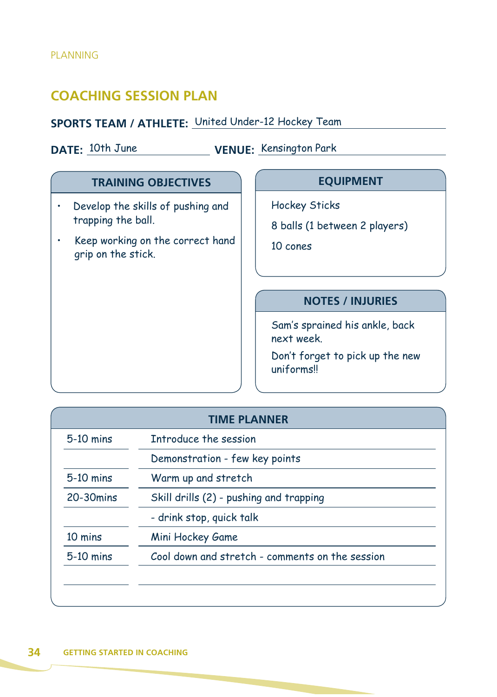# **COACHING SESSION PLAN**

#### **SPORTS TEAM / ATHLETE:** United Under-12 Hockey Team

**DATE:** 10th June **VENUE:** Kensington Park

#### **TRAINING OBJECTIVES**

- Develop the skills of pushing and trapping the ball.
- Keep working on the correct hand grip on the stick.

#### **EQUIPMENT**

Hockey Sticks

8 balls (1 between 2 players)

10 cones

#### **NOTES / INJURIES**

Sam's sprained his ankle, back next week.

Don't forget to pick up the new uniforms!!

| $5-10$ mins | Introduce the session                           |
|-------------|-------------------------------------------------|
|             | Demonstration - few key points                  |
| 5-10 mins   | Warm up and stretch                             |
| 20-30 mins  | Skill drills (2) - pushing and trapping         |
|             | - drink stop, quick talk                        |
| 10 mins     | Mini Hockey Game                                |
| $5-10$ mins | Cool down and stretch - comments on the session |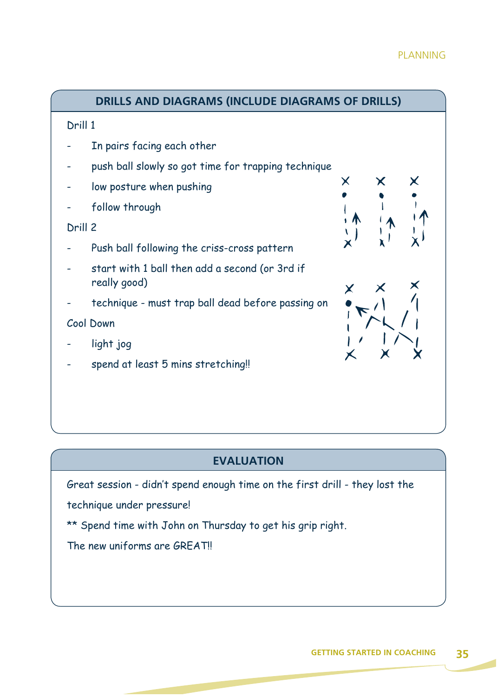#### PLANNING



#### **EVALUATION**

Great session - didn't spend enough time on the first drill - they lost the

technique under pressure!

\*\* Spend time with John on Thursday to get his grip right.

The new uniforms are GREAT!!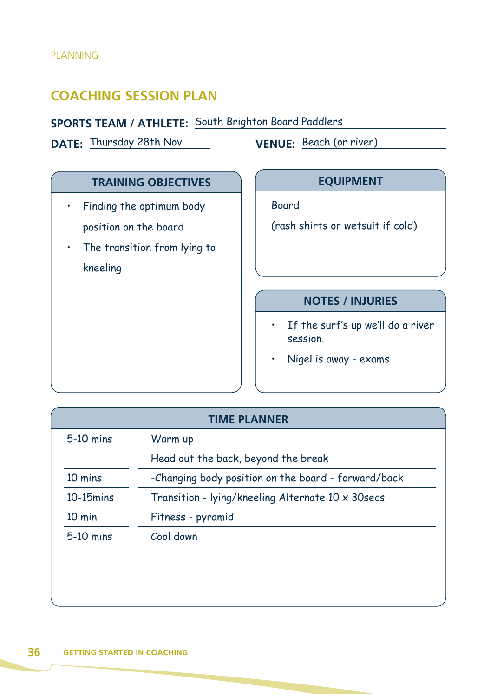# **COACHING SESSION PLAN**

#### **SPORTS TEAM / ATHLETE:** South Brighton Board Paddlers

**DATE:** Thursday 28th Nov **VENUE:** Beach (or river)

#### **TRAINING OBJECTIVES**

- Finding the optimum body position on the board
- The transition from lying to kneeling

#### **EQUIPMENT**

Board

(rash shirts or wetsuit if cold)

#### **NOTES / INJURIES**

- If the surf's up we'll do a river session.
- Nigel is away exams

| $5-10$ mins      | Warm up                                             |
|------------------|-----------------------------------------------------|
|                  | Head out the back, beyond the break                 |
| 10 mins          | -Changing body position on the board - forward/back |
| $10-15$ mins     | Transition - lying/kneeling Alternate 10 x 30secs   |
| $10 \text{ min}$ | Fitness - pyramid                                   |
| 5-10 mins        | Cool down                                           |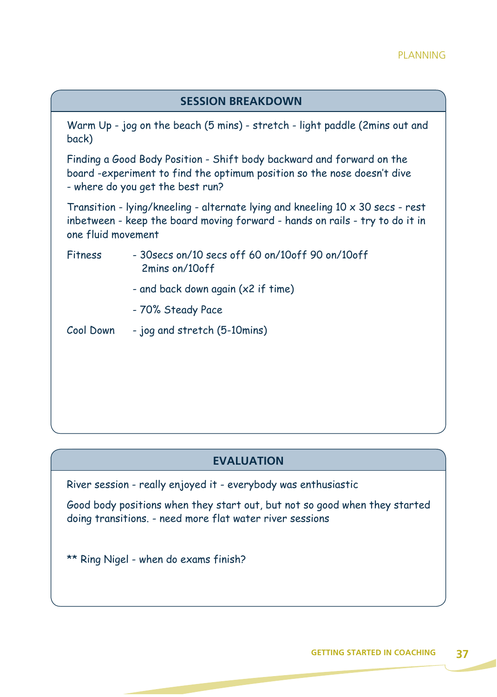| <b>SESSION BREAKDOWN</b>                                                                                                                                                                    |                                                                                                                                                                                      |  |
|---------------------------------------------------------------------------------------------------------------------------------------------------------------------------------------------|--------------------------------------------------------------------------------------------------------------------------------------------------------------------------------------|--|
| back)                                                                                                                                                                                       | Warm Up - jog on the beach (5 mins) - stretch - light paddle (2mins out and                                                                                                          |  |
|                                                                                                                                                                                             | Finding a Good Body Position - Shift body backward and forward on the<br>board -experiment to find the optimum position so the nose doesn't dive<br>- where do you get the best run? |  |
| Transition - lying/kneeling - alternate lying and kneeling $10 \times 30$ secs - rest<br>inbetween - keep the board moving forward - hands on rails - try to do it in<br>one fluid movement |                                                                                                                                                                                      |  |
| Fitness                                                                                                                                                                                     | $-$ 30 secs on/10 secs off 60 on/10 off 90 on/10 off<br>2mins on/10off                                                                                                               |  |
|                                                                                                                                                                                             | - and back down again (x2 if time)                                                                                                                                                   |  |
|                                                                                                                                                                                             | - 70% Steady Pace                                                                                                                                                                    |  |
| Cool Down                                                                                                                                                                                   | - jog and stretch (5-10mins)                                                                                                                                                         |  |

#### **EVALUATION**

River session - really enjoyed it - everybody was enthusiastic

Good body positions when they start out, but not so good when they started doing transitions. - need more flat water river sessions

\*\* Ring Nigel - when do exams finish?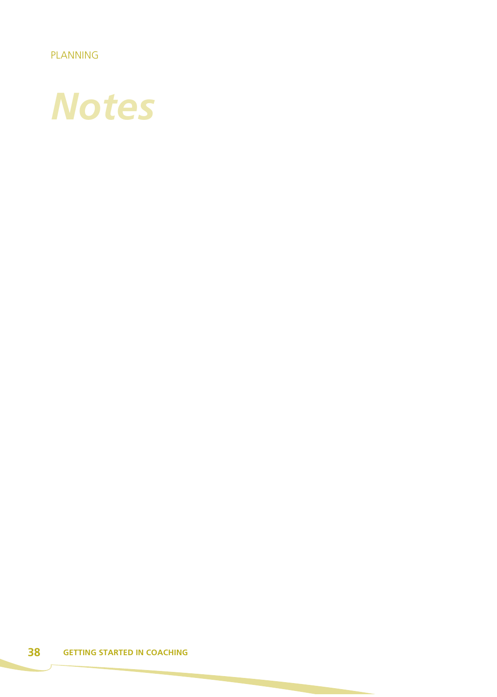PLANNING

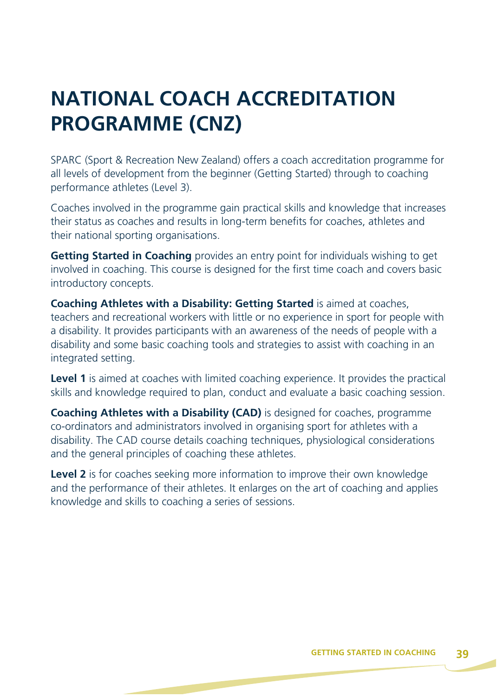# **NATIONAL COACH ACCREDITATION PROGRAMME (CNZ)**

SPARC (Sport & Recreation New Zealand) offers a coach accreditation programme for all levels of development from the beginner (Getting Started) through to coaching performance athletes (Level 3).

Coaches involved in the programme gain practical skills and knowledge that increases their status as coaches and results in long-term benefits for coaches, athletes and their national sporting organisations.

**Getting Started in Coaching** provides an entry point for individuals wishing to get involved in coaching. This course is designed for the first time coach and covers basic introductory concepts.

**Coaching Athletes with a Disability: Getting Started** is aimed at coaches, teachers and recreational workers with little or no experience in sport for people with a disability. It provides participants with an awareness of the needs of people with a disability and some basic coaching tools and strategies to assist with coaching in an integrated setting.

**Level 1** is aimed at coaches with limited coaching experience. It provides the practical skills and knowledge required to plan, conduct and evaluate a basic coaching session.

**Coaching Athletes with a Disability (CAD)** is designed for coaches, programme co-ordinators and administrators involved in organising sport for athletes with a disability. The CAD course details coaching techniques, physiological considerations and the general principles of coaching these athletes.

**Level 2** is for coaches seeking more information to improve their own knowledge and the performance of their athletes. It enlarges on the art of coaching and applies knowledge and skills to coaching a series of sessions.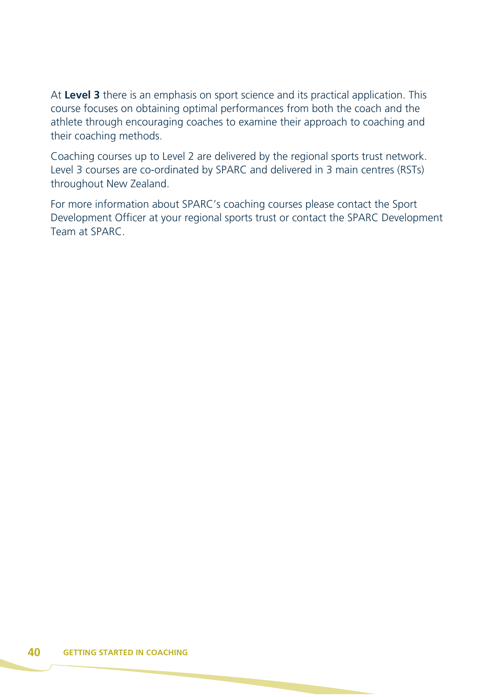At **Level 3** there is an emphasis on sport science and its practical application. This course focuses on obtaining optimal performances from both the coach and the athlete through encouraging coaches to examine their approach to coaching and their coaching methods.

Coaching courses up to Level 2 are delivered by the regional sports trust network. Level 3 courses are co-ordinated by SPARC and delivered in 3 main centres (RSTs) throughout New Zealand.

For more information about SPARC's coaching courses please contact the Sport Development Officer at your regional sports trust or contact the SPARC Development Team at SPARC.